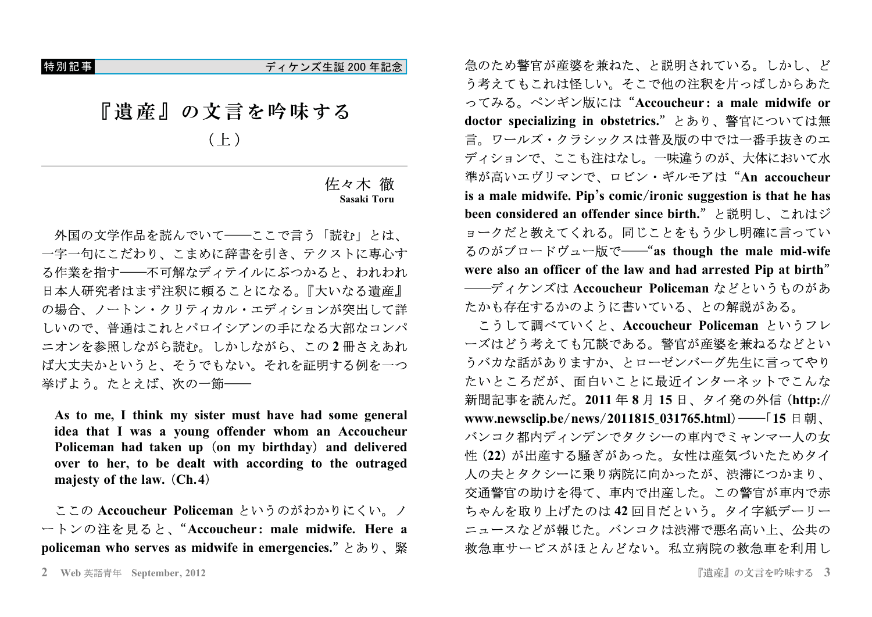特別記事

ディケンズ生誕 200 年記念

『遺産』の文言を吟味する

 $(E)$ 

## 佐々木 徹 Sasaki Toru

外国の文学作品を読んでいて–––ここで言う「読む」とは、 一字一句にこだわり、こまめに辞書を引き、テクストに専心す る作業を指す――不可解なディテイルにぶつかると、われわれ 日本人研究者はまず注釈に頼ることになる。『大いなる遺産』 の場合、ノートン・クリティカル・エディションが突出して詳 しいので、普通はこれとパロイシアンの手になる大部なコンパ ニオンを参照しながら読む。しかしながら、この2冊さえあれ ば大丈夫かというと、そうでもない。それを証明する例を一つ 挙げよう。たとえば、次の一節––

As to me, I think my sister must have had some general idea that I was a young offender whom an Accoucheur Policeman had taken up (on my birthday) and delivered over to her, to be dealt with according to the outraged majesty of the law. (Ch.4)

ここの Accoucheur Policeman というのがわかりにくい。ノ ートンの注を見ると、"Accoucheur: male midwife. Here a policeman who serves as midwife in emergencies." とあり、緊 急のため警官が産婆を兼ねた、と説明されている。しかし、ど う考えてもこれは怪しい。そこで他の注釈を片っぱしからあた ってみる。ペンギン版には"Accoucheur: a male midwife or doctor specializing in obstetrics." とあり、警官については無 言。ワールズ・クラシックスは普及版の中では一番手抜きのエ ディションで、ここも注はなし。一味違うのが、大体において水 準が高いエヴリマンで、ロビン・ギルモアは"An accoucheur is a male midwife. Pip's comic/ironic suggestion is that he has been considered an offender since birth."と説明し、これはジ ョークだと教えてくれる。同じことをもう少し明確に言ってい るのがブロードヴュー版で——"as though the male mid-wife were also an officer of the law and had arrested Pip at birth" ――ディケンズは Accoucheur Policeman などというものがあ たかも存在するかのように書いている、との解説がある。

こうして調べていくと、Accoucheur Policeman というフレ ーズはどう考えても冗談である。警官が産婆を兼ねるなどとい うバカな話がありますか、とローゼンバーグ先生に言ってやり たいところだが、面白いことに最近インターネットでこんな 新聞記事を読んだ。2011年8月15日、タイ発の外信 (http:// www.newsclip.be/news/2011815\_031765.html) —–「15日朝、 バンコク都内ディンデンでタクシーの車内でミャンマー人の女 性(22)が出産する騒ぎがあった。女性は産気づいたためタイ 人の夫とタクシーに乗り病院に向かったが、渋滞につかまり、 交通警官の助けを得て、車内で出産した。この警官が車内で赤 ちゃんを取り上げたのは42回目だという。タイ字紙デーリー ニュースなどが報じた。バンコクは渋滞で悪名高い上、公共の 救急車サービスがほとんどない。私立病院の救急車を利用し

<sup>2</sup> Web 英語青年 September, 2012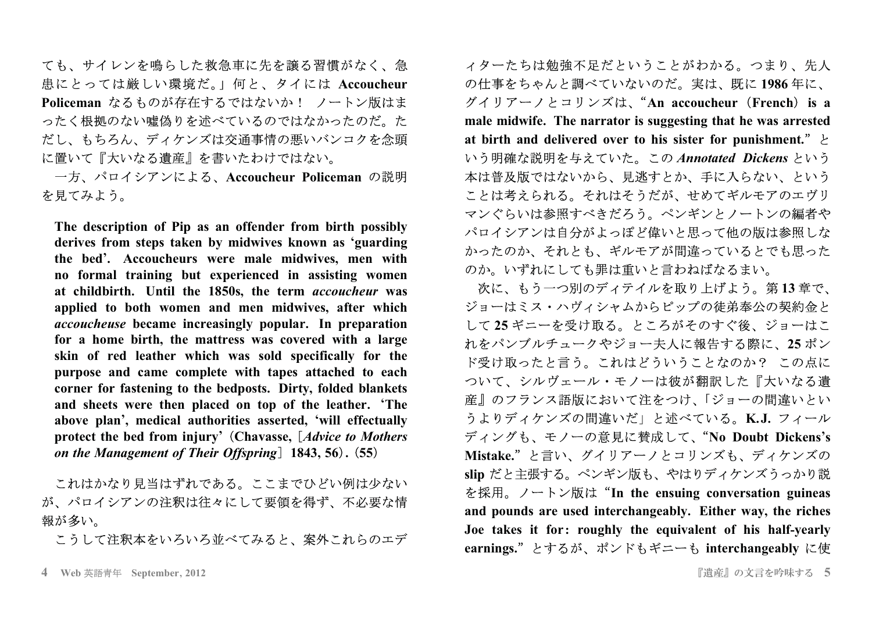ても、サイレンを鳴らした救急車に先を譲る習慣がなく、急 患にとっては厳しい環境だ。」何と、タイには Accoucheur Policeman なるものが存在するではないか! ノートン版はま ったく根拠のない噓偽りを述べているのではなかったのだ。た だし、もちろん、ディケンズは交通事情の悪いバンコクを念頭 に置いて『大いなる遺産』を書いたわけではない。

一方、パロイシアンによる、Accoucheur Policeman の説明 を見てみよう。

The description of Pip as an offender from birth possibly derives from steps taken by midwives known as 'guarding the bed'. Accoucheurs were male midwives, men with no formal training but experienced in assisting women at childbirth. Until the 1850s, the term accoucheur was applied to both women and men midwives, after which *accoucheuse* became increasingly popular. In preparation for a home birth, the mattress was covered with a large skin of red leather which was sold specifically for the purpose and came complete with tapes attached to each corner for fastening to the bedposts. Dirty, folded blankets and sheets were then placed on top of the leather. 'The above plan', medical authorities asserted, 'will effectually protect the bed from injury' (Chavasse, [Advice to Mothers] on the Management of Their Offspring] 1843, 56). (55)

これはかなり見当はずれである。ここまでひどい例は少ない が、パロイシアンの注釈は往々にして要領を得ず、不必要な情 報が多い。

こうして注釈本をいろいろ並べてみると、案外これらのエデ

ィターたちは勉強不足だということがわかる。つまり、先人 の仕事をちゃんと調べていないのだ。実は、既に1986年に、 グイリアーノとコリンズは、"An accoucheur (French) is a male midwife. The narrator is suggesting that he was arrested at birth and delivered over to his sister for punishment."  $\geq$ いう明確な説明を与えていた。この Annotated Dickens という 本は普及版ではないから、見逃すとか、手に入らない、という ことは考えられる。それはそうだが、せめてギルモアのエヴリ マンぐらいは参照すべきだろう。ペンギンとノートンの編者や パロイシアンは自分がよっぽど偉いと思って他の版は参照しな かったのか、それとも、ギルモアが間違っているとでも思った のか。いずれにしても罪は重いと言わねばなるまい。

次に、もう一つ別のディテイルを取り上げよう。第13章で、 ジョーはミス・ハヴィシャムからピップの徒弟奉公の契約金と して25ギニーを受け取る。ところがそのすぐ後、ジョーはこ れをパンブルチュークやジョー夫人に報告する際に、25ポン ド受け取ったと言う。これはどういうことなのか? この点に ついて、シルヴェール・モノーは彼が翻訳した『大いなる潰 産』のフランス語版において注をつけ、「ジョーの間違いとい うよりディケンズの間違いだ」と述べている。K.J. フィール ディングも、モノーの意見に賛成して、"No Doubt Dickens's Mistake."と言い、グイリアーノとコリンズも、ディケンズの slip だと主張する。ペンギン版も、やはりディケンズうっかり説 を採用。ノートン版は "In the ensuing conversation guineas and pounds are used interchangeably. Either way, the riches Joe takes it for: roughly the equivalent of his half-yearly earnings."とするが、ポンドもギニーも interchangeably に使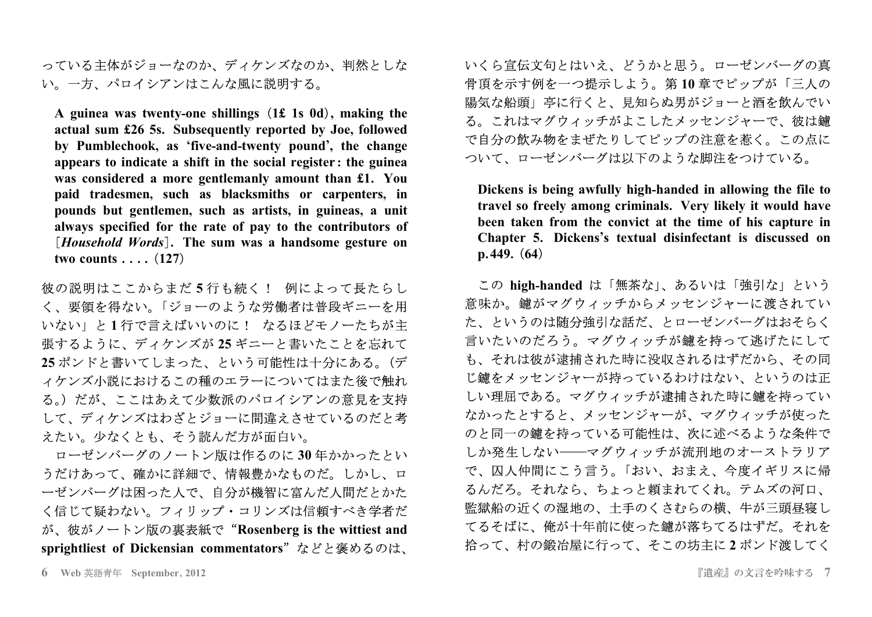っている主体がジョーなのか、ディケンズなのか、判然としな い。一方、パロイシアンはこんな風に説明する。

A guinea was twenty-one shillings (1£ 1s 0d), making the actual sum £26 5s. Subsequently reported by Joe, followed by Pumblechook, as 'five-and-twenty pound', the change appears to indicate a shift in the social register: the guinea was considered a more gentlemanly amount than £1. You paid tradesmen, such as blacksmiths or carpenters, in pounds but gentlemen, such as artists, in guineas, a unit always specified for the rate of pay to the contributors of [Household Words]. The sum was a handsome gesture on two counts  $\ldots$  (127)

彼の説明はここからまだ5行も続く! 例によって長たらし く、要領を得ない。「ジョーのような労働者は普段ギニーを用 いない」と1行で言えばいいのに! なるほどモノーたちが主 張するように、ディケンズが 25 ギニーと書いたことを忘れて 25 ポンドと書いてしまった、という可能性は十分にある。(デ ィケンズ小説におけるこの種のエラーについてはまた後で触れ る。)だが、ここはあえて少数派のパロイシアンの意見を支持 して、ディケンズはわざとジョーに間違えさせているのだと考 えたい。少なくとも、そう読んだ方が面白い。

ローゼンバーグのノートン版は作るのに30年かかったとい うだけあって、確かに詳細で、情報豊かなものだ。しかし、ロ ーゼンバーグは困った人で、自分が機智に富んだ人間だとかた く信じて疑わない。フィリップ・コリンズは信頼すべき学者だ が、彼がノートン版の裏表紙で"Rosenberg is the wittiest and sprightliest of Dickensian commentators"などと褒めるのは、

いくら宣伝文句とはいえ、どうかと思う。ローゼンバーグの真 骨頂を示す例を一つ提示しよう。第10章でピップが「三人の 陽気な船頭」亭に行くと、見知らぬ男がジョーと酒を飲んでい る。これはマグウィッチがよこしたメッセンジャーで、彼は鑢 で自分の飲み物をまぜたりしてピップの注意を惹く。この点に ついて、ローゼンバーグは以下のような脚注をつけている。

Dickens is being awfully high-handed in allowing the file to travel so freely among criminals. Very likely it would have been taken from the convict at the time of his capture in Chapter 5. Dickens's textual disinfectant is discussed on  $p.449. (64)$ 

この high-handed は「無茶な」、あるいは「強引な」という 意味か。鑢がマグウィッチからメッセンジャーに渡されてい た、というのは随分強引な話だ、とローゼンバーグはおそらく 言いたいのだろう。マグウィッチが鑢を持って逃げたにして も、それは彼が逮捕された時に没収されるはずだから、その同 じ鑢をメッセンジャーが持っているわけはない、というのは正 しい理屈である。マグウィッチが逮捕された時に鑢を持ってい なかったとすると、メッセンジャーが、マグウィッチが使った のと同一の鑢を持っている可能性は、次に述べるような条件で しか発生しない–––マグウィッチが流刑地のオーストラリア で、囚人仲間にこう言う。「おい、おまえ、今度イギリスに帰 るんだろ。それなら、ちょっと頼まれてくれ。テムズの河口、 監獄船の近くの湿地の、土手のくさむらの横、牛が三頭昼寝し てるそばに、俺が十年前に使った鑢が落ちてるはずだ。それを 拾って、村の鍛冶屋に行って、そこの坊主に2ポンド渡してく

<sup>6</sup> Web 英語青年 September, 2012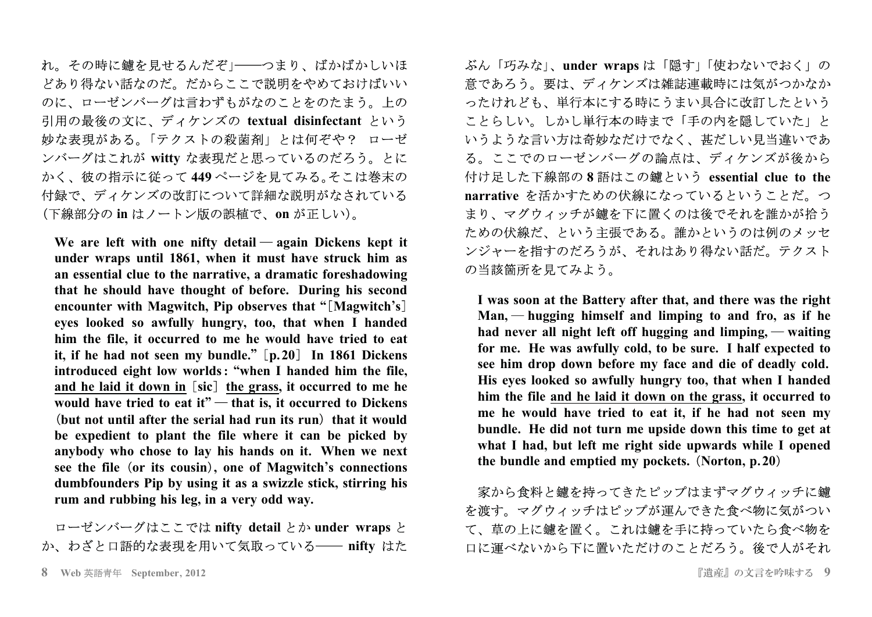れ。その時に鑢を見せるんだぞ」――つまり、ばかばかしいほ どあり得ない話なのだ。だからここで説明をやめておけばいい のに、ローゼンバーグは言わずもがなのことをのたまう。上の 引用の最後の文に、ディケンズの textual disinfectant という 妙な表現がある。「テクストの殺菌剤」とは何ぞや? ローゼ ンバーグはこれが witty な表現だと思っているのだろう。とに かく、彼の指示に従って 449 ページを見てみる。そこは巻末の 付録で、ディケンズの改訂について詳細な説明がなされている (下線部分の in はノートン版の誤植で、on が正しい)。

**We are left with one nifty detail again Dickens kept it under wraps until 1861 when it must have struck him as , an essential clue to the narrative <sup>a</sup> dramatic foreshadowing , that he should have thought of before During his second . encounter with Magwitch Pip observes that Magwitch <sup>s</sup> , " ' eyes looked so awfully hungry too that when I handed , ,** him the file, it occurred to me he would have tried to eat it, if he had not seen my bundle." [p.20] In 1861 Dickens **introduced eight low worlds when I handed him the file : , "** and he laid it down in [sic] the grass, it occurred to me he would have tried to eat it" — that is, it occurred to Dickens (but not until after the serial had run its run) that it would be expedient to plant the file where it can be picked by **anybody who chose to lay his hands on it When we next . see the file or its cousin one of Magwitch <sup>s</sup> connections** - **, ' dumbfounders Pip by using it as <sup>a</sup> swizzle stick stirring his , rum and rubbing his leg in <sup>a</sup> very odd way , .**

ローゼンバーグはここでは nifty detail とか under wraps と か、わざと口語的な表現を用いて気取っている―― nifty はた

ぶん「巧みな」、**under wraps** は「隠す」「使わないでおく」の 意であろう。要は、ディケンズは雑誌連載時には気がつかなか ったけれども、単行本にする時にうまい具合に改訂したという ことらしい。しかし単行本の時まで「手の内を隠していた」と いうような言い方は奇妙なだけでなく、甚だしい見当違いであ る。ここでのローゼンバーグの論点は、ディケンズが後から Á ì % a Å i **8 essential clue to the** narrative を活かすための伏線になっているということだ。つ まり、マグウィッチが鑢を下に置くのは後でそれを誰かが拾う ための伏線だ、という主張である。誰かというのは例のメッセ ンジャーを指すのだろうが、それはあり得ない話だ。テクスト の当該箇所を見てみよう。

I was soon at the Battery after that, and there was the right  $Man$ ,  $\rightarrow$  **hugging himself** and **limping** to and fro, as if he **had never all night left off hugging and limping waiting ,** for me. He was awfully cold, to be sure. I half expected to **see him drop down before my face and die of deadly cold. His eyes looked so awfully hungry too that when I handed ,** him the file and he laid it down on the grass, it occurred to me he would have tried to eat it, if he had not seen my bundle. He did not turn me upside down this time to get at what I had, but left me right side upwards while I opened **the bundle and emptied my pockets Norton p 20 . ,.** -

家から食料と鑢を持ってきたピップはまずマグウィッチに鑢 を渡す。マグウィッチはピップが運んできた食べ物に気がつい て、草の上に鑢を置く。これは鑢を手に持っていたら食べ物を 口に運べないから下に置いただけのことだろう。後で人がそれ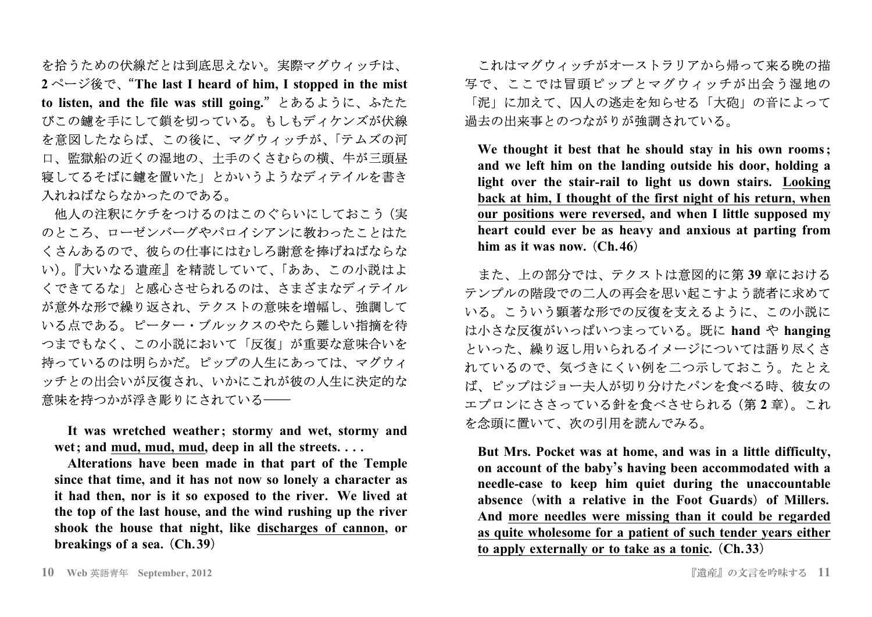を拾うための伏線だとは到底思えない。実際マグウィッチは、  $2<sup>0</sup> - \tilde{v}$ 後で、"The last I heard of him, I stopped in the mist to listen, and the file was still going." とあるように、ふたた びこの鑢を手にして鎖を切っている。もしもディケンズが伏線 を意図したならば、この後に、マグウィッチが、「テムズの河 口、監獄船の近くの湿地の、土手のくさむらの横、牛が三頭昼 寝してるそばに鑢を置いた」とかいうようなディテイルを書き 入れねばならなかったのである。

他人の注釈にケチをつけるのはこのぐらいにしておこう (実 のところ、ローゼンバーグやパロイシアンに教わったことはた くさんあるので、彼らの仕事にはむしろ謝意を捧げねばならな い)。『大いなる遺産』を精読していて、「ああ、この小説はよ くできてるな」と感心させられるのは、さまざまなディテイル が意外な形で繰り返され、テクストの意味を増幅し、強調して いる点である。ピーター・ブルックスのやたら難しい指摘を待 つまでもなく、この小説において「反復」が重要な意味合いを 持っているのは明らかだ。ピップの人生にあっては、マグウィ ッチとの出会いが反復され、いかにこれが彼の人生に決定的な 意味を持つかが浮き彫りにされている––

It was wretched weather; stormy and wet, stormy and wet: and mud. mud. mud. deep in all the streets....

Alterations have been made in that part of the Temple since that time, and it has not now so lonely a character as it had then, nor is it so exposed to the river. We lived at the top of the last house, and the wind rushing up the river shook the house that night, like discharges of cannon, or breakings of a sea. (Ch.39)

これはマグウィッチがオーストラリアから帰って来る晩の描 写で、ここでは冒頭ピップとマグウィッチが出会う湿地の 「泥」に加えて、囚人の逃走を知らせる「大砲」の音によって 過去の出来事とのつながりが強調されている。

We thought it best that he should stay in his own rooms; and we left him on the landing outside his door, holding a light over the stair-rail to light us down stairs. Looking back at him, I thought of the first night of his return, when our positions were reversed, and when I little supposed my heart could ever be as heavy and anxious at parting from him as it was now.  $(Ch.46)$ 

また、上の部分では、テクストは意図的に第39章における テンプルの階段での二人の再会を思い起こすよう読者に求めて いる。こういう顕著な形での反復を支えるように、この小説に は小さな反復がいっぱいつまっている。既に hand や hanging といった、繰り返し用いられるイメージについては語り尽くさ れているので、気づきにくい例を二つ示しておこう。たとえ ば、ピップはジョー夫人が切り分けたパンを食べる時、彼女の エプロンにささっている針を食べさせられる (第2章)。これ を念頭に置いて、次の引用を読んでみる。

But Mrs. Pocket was at home, and was in a little difficulty. on account of the baby's having been accommodated with a needle-case to keep him quiet during the unaccountable absence (with a relative in the Foot Guards) of Millers. And more needles were missing than it could be regarded as quite wholesome for a patient of such tender years either to apply externally or to take as a tonic. (Ch.33)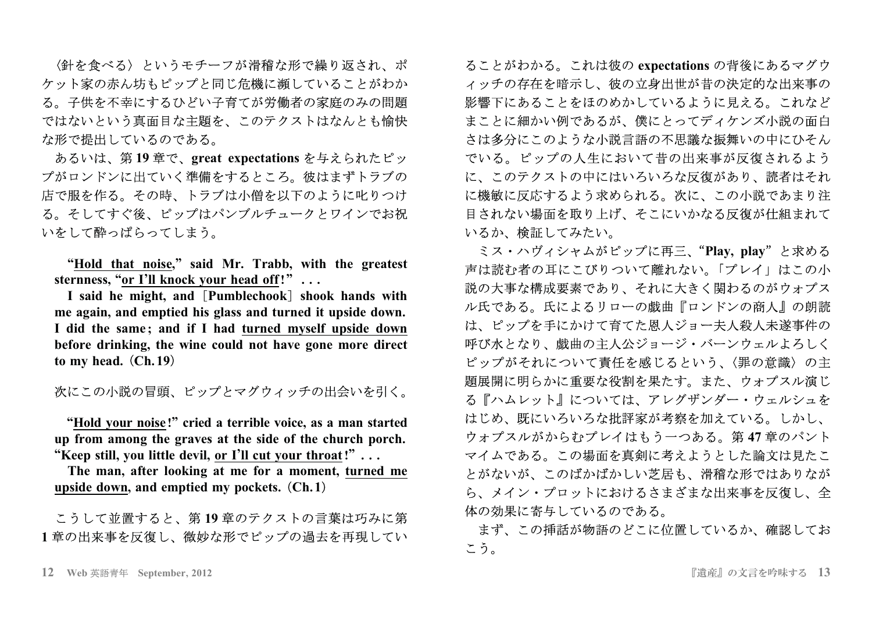〈針を食べる〉というモチーフが滑稽な形で繰り返され、ポ ケット家の赤ん坊もピップと同じ危機に瀕していることがわか る。子供を不幸にするひどい子育てが労働者の家庭のみの問題 ではないという真面目な主題を、このテクストはなんとも愉快 な形で提出しているのである。

あるいは、第19章で、great expectations を与えられたピッ プがロンドンに出ていく準備をするところ。彼はまずトラブの 店で服を作る。その時、トラブは小僧を以下のように叱りつけ る。そしてすぐ後、ピップはパンブルチュークとワインでお祝 いをして酔っぱらってしまう。

"Hold that noise," said Mr. Trabb, with the greatest sternness, "or I'll knock your head off!" ...

I said he might, and [Pumblechook] shook hands with me again, and emptied his glass and turned it upside down. I did the same; and if I had turned myself upside down before drinking, the wine could not have gone more direct to my head.  $(Ch.19)$ 

次にこの小説の冒頭、ピップとマグウィッチの出会いを引く。

"Hold your noise!" cried a terrible voice, as a man started up from among the graves at the side of the church porch. "Keep still, you little devil, or I'll cut your throat!"...

The man, after looking at me for a moment, turned me upside down, and emptied my pockets.  $(Ch.1)$ 

## こうして並置すると、第19章のテクストの言葉は巧みに第 1章の出来事を反復し、微妙な形でピップの過去を再現してい

ることがわかる。これは彼の expectations の背後にあるマグウ イッチの存在を暗示し、彼の立身出世が昔の決定的な出来事の 影響下にあることをほのめかしているように見える。これなど まことに細かい例であるが、僕にとってディケンズ小説の面白 さは多分にこのような小説言語の不思議な振舞いの中にひそん でいる。ピップの人生において昔の出来事が反復されるよう に、このテクストの中にはいろいろな反復があり、読者はそれ に機敏に反応するよう求められる。次に、この小説であまり注 目されない場面を取り上げ、そこにいかなる反復が仕組まれて いるか、検証してみたい。

ミス・ハヴィシャムがピップに再三、"Plav. play"と求める 声は読む者の耳にこびりついて離れない。「プレイ」はこの小 説の大事な構成要素であり、それに大きく関わるのがウォプス ル氏である。氏によるリローの戯曲『ロンドンの商人』の朗読 は、ピップを手にかけて育てた恩人ジョー夫人殺人未遂事件の 呼び水となり、戯曲の主人公ジョージ・バーンウェルよろしく ピップがそれについて責任を感じるという、〈罪の意識〉の主 題展開に明らかに重要な役割を果たす。また、ウォプスル演じ る『ハムレット』については、アレグザンダー・ウェルシュを はじめ、既にいろいろな批評家が考察を加えている。しかし、 ウォプスルがからむプレイはもう一つある。第47章のパント マイムである。この場面を真剣に考えようとした論文は見たこ とがないが、このばかばかしい芝居も、滑稽な形ではありなが ら、メイン・プロットにおけるさまざまな出来事を反復し、全 体の効果に寄与しているのである。

まず、この挿話が物語のどこに位置しているか、確認してお こう。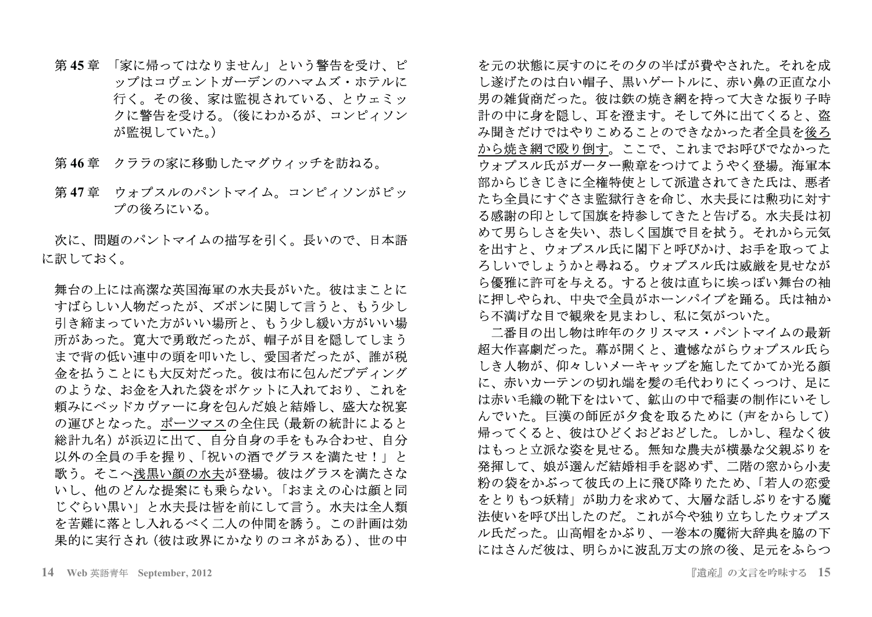- 第45章 「家に帰ってはなりません」という警告を受け、ピ ップはコヴェントガーデンのハマムズ・ホテルに 行く。その後、家は監視されている、とウェミッ クに警告を受ける。(後にわかるが、コンピィソン が監視していた。)
- 第46章 クララの家に移動したマグウィッチを訪ねる。
- 第47章 ウォプスルのパントマイム。コンピィソンがピッ プの後ろにいる。

次に、問題のパントマイムの描写を引く。長いので、日本語 に訳しておく。

舞台の上には高潔な英国海軍の水夫長がいた。彼はまことに すばらしい人物だったが、ズボンに関して言うと、もう少し 引き締まっていた方がいい場所と、もう少し緩い方がいい場 所があった。寛大で勇敢だったが、帽子が目を隠してしまう まで背の低い連中の頭を叩いたし、愛国者だったが、誰が税 金を払うことにも大反対だった。彼は布に包んだプディング のような、お金を入れた袋をポケットに入れており、これを 頼みにベッドカヴァーに身を句んだ娘と結婚し、盛大な祝宴 の運びとなった。ポーツマスの全住民(最新の統計によると 総計九名)が浜辺に出て、自分自身の手をもみ合わせ、自分 以外の全員の手を握り、「祝いの酒でグラスを満たせ!」と 歌う。そこへ浅黒い顔の水夫が登場。彼はグラスを満たさな いし、他のどんな提案にも乗らない。「おまえの心は顔と同 じぐらい黒い」と水夫長は皆を前にして言う。水夫は全人類 を苦難に落とし入れるべく二人の仲間を誘う。この計画は効 果的に実行され (彼は政界にかなりのコネがある)、世の中

を元の状態に戻すのにその夕の半ばが費やされた。それを成 し遂げたのは白い帽子、黒いゲートルに、赤い鼻の正直な小 男の雑貨商だった。彼は鉄の焼き網を持って大きな振り子時 計の中に身を隠し、耳を澄ます。そして外に出てくると、盗 み聞きだけではやりこめることのできなかった者全員を後ろ から焼き網で殴り倒す。ここで、これまでお呼びでなかった ウォプスル氏がガーター勲章をつけてようやく登場。海軍本 部からじきじきに全権特使として派遣されてきた氏は、悪者 たち全員にすぐさま監獄行きを命じ、水夫長には勲功に対す る感謝の印として国旗を持参してきたと告げる。水夫長は初 めて男らしさを失い、恭しく国旗で目を拭う。それから元気 を出すと、ウォプスル氏に閣下と呼びかけ、お手を取ってよ ろしいでしょうかと尋ねる。ウォプスル氏は威厳を見せなが ら優雅に許可を与える。すると彼は直ちに埃っぽい舞台の袖 に押しやられ、中央で全員がホーンパイプを踊る。氏は袖か ら不満げな目で観衆を見まわし、私に気がついた。

二番目の出し物は昨年のクリスマス・パントマイムの最新 超大作喜劇だった。幕が開くと、遺憾ながらウォプスル氏ら しき人物が、仰々しいメーキャップを施したてかてか光る顔 に、赤いカーテンの切れ端を髣の毛代わりにくっつけ、足に は赤い毛織の靴下をはいて、鉱山の中で稲妻の制作にいそし んでいた。巨漢の師匠が夕食を取るために(声をからして) 帰ってくると、彼はひどくおどおどした。しかし、程なく彼 はもっと立派な姿を見せる。無知な農夫が横暴な父親ぶりを 発揮して、娘が選んだ結婚相手を認めず、二階の窓から小麦 粉の袋をかぶって彼氏の上に飛び降りたため、「若人の恋愛 をとりもつ妖精」が助力を求めて、大層な話しぶりをする魔 法使いを呼び出したのだ。これが今や独り立ちしたウォプス ル氏だった。山高帽をかぶり、一巻本の魔術大辞典を脇の下 にはさんだ彼は、明らかに波乱万丈の旅の後、足元をふらつ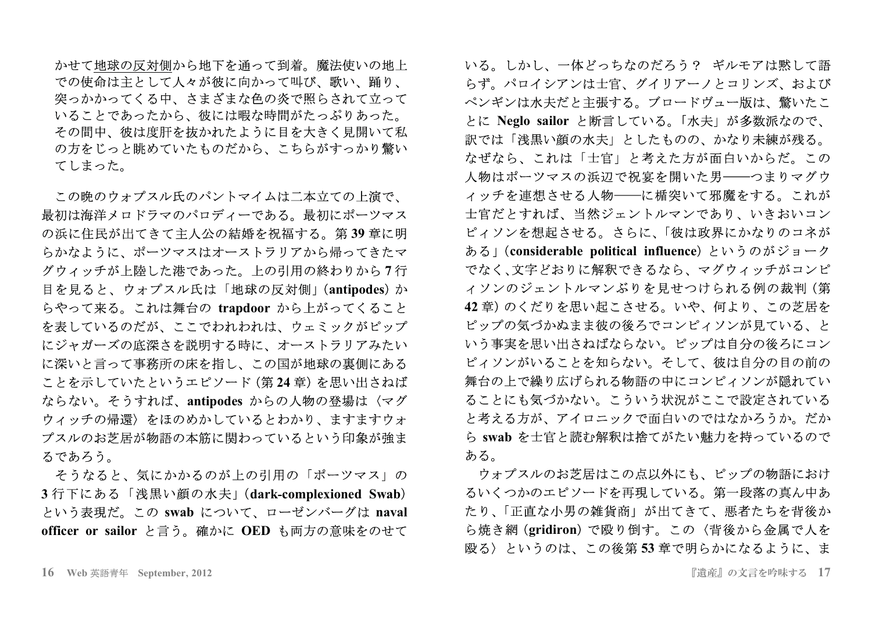かせて地球の反対側から地下を通って到着。魔法使いの地上 での使命は主として人々が彼に向かって叫び、歌い、踊り、 突っかかってくる中、さまざまな色の炎で照らされて立って いることであったから、彼には暇な時間がたっぷりあった。 その間中、彼は度肝を抜かれたように目を大きく見開いて私 の方をじっと眺めていたものだから、こちらがすっかり驚い てしまった。

この晩のウォプスル氏のパントマイムは二本立ての上演で、 最初は海洋メロドラマのパロディーである。最初にポーツマス の浜に住民が出てきて主人公の結婚を祝福する。第39章に明 らかなように、ポーツマスはオーストラリアから帰ってきたマ グウィッチが上陸した港であった。上の引用の終わりから7行 目を見ると、ウォプスル氏は「地球の反対側」(antipodes)か らやって来る。これは舞台の trapdoor から上がってくること を表しているのだが、ここでわれわれは、ウェミックがピップ にジャガーズの底深さを説明する時に、オーストラリアみたい に深いと言って事務所の床を指し、この国が地球の裏側にある ことを示していたというエピソード (第24章) を思い出さねば ならない。そうすれば、antipodes からの人物の登場は〈マグ ウィッチの帰還〉をほのめかしているとわかり、ますますウォ プスルのお芝居が物語の本筋に関わっているという印象が強ま るであろう。

そうなると、気にかかるのが上の引用の「ポーツマス」の 3行下にある「浅黒い顔の水夫」(dark-complexioned Swab) という表現だ。この swab について、ローゼンバーグは naval officer or sailor と言う。確かに OED も両方の意味をのせて

いる。しかし、一体どっちなのだろう? ギルモアは黙して語 らず。パロイシアンは士官、グイリアーノとコリンズ、および ペンギンは水夫だと主張する。ブロードヴュー版は、驚いたこ とに Neglo sailor と断言している。「水夫」が多数派なので、 訳では「浅黒い顔の水夫」としたものの、かなり未練が残る。 なぜなら、これは「士官」と考えた方が面白いからだ。この 人物はポーツマスの浜辺で祝宴を開いた男――つまりマグウ ィッチを連想させる人物–––に楯突いて邪魔をする。これが 士官だとすれば、当然ジェントルマンであり、いきおいコン ピィソンを想起させる。さらに、「彼は政界にかなりのコネが ある」(considerable political influence) というのがジョーク でなく、文字どおりに解釈できるなら、マグウィッチがコンピ ィソンのジェントルマンぶりを見せつけられる例の裁判 (第 42章)のくだりを思い起こさせる。いや、何より、この芝居を ピップの気づかぬまま彼の後ろでコンピィソンが見ている、と いう事実を思い出さねばならない。ピップは自分の後ろにコン ピィソンがいることを知らない。そして、彼は自分の目の前の 舞台の上で繰り広げられる物語の中にコンピィソンが隠れてい ることにも気づかない。こういう状況がここで設定されている と考える方が、アイロニックで面白いのではなかろうか。だか ら swab を士官と読む解釈は捨てがたい魅力を持っているので ある。

ウォプスルのお芝居はこの点以外にも、ピップの物語におけ るいくつかのエピソードを再現している。第一段落の真ん中あ たり、「正直な小男の雑貨商」が出てきて、悪者たちを背後か ら焼き網 (gridiron) で殴り倒す。この〈背後から金属で人を 殴る〉というのは、この後第53章で明らかになるように、ま